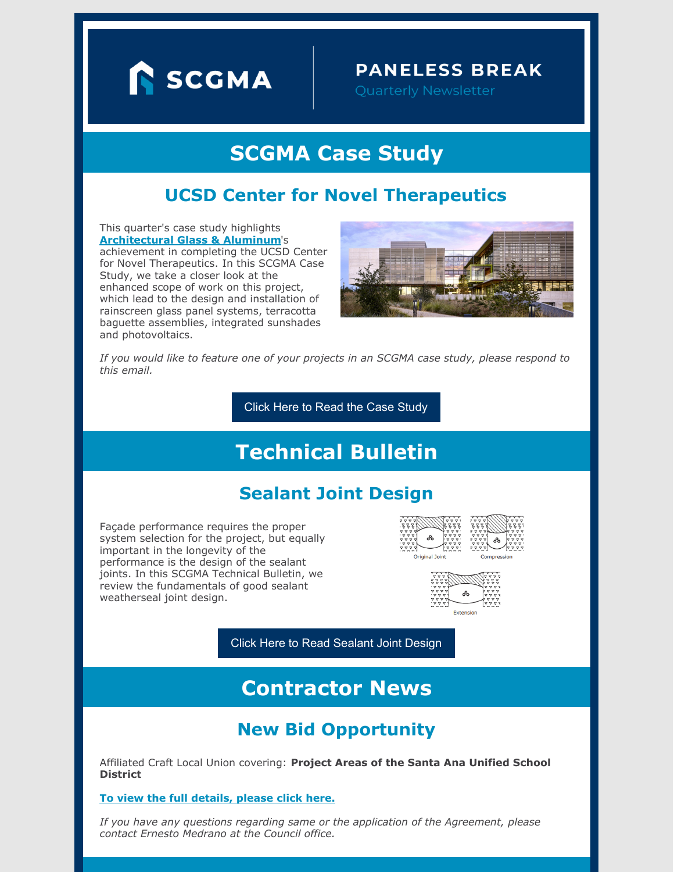

### **PANELESS BREAK**

# **SCGMA Case Study**

### **UCSD Center for Novel Therapeutics**

This quarter's case study highlights **[Architectural](https://www.aga-ca.com) Glass & Aluminum**'s achievement in completing the UCSD Center for Novel Therapeutics. In this SCGMA Case Study, we take a closer look at the enhanced scope of work on this project, which lead to the design and installation of rainscreen glass panel systems, terracotta baguette assemblies, integrated sunshades and photovoltaics.



*If you would like to feature one of your projects in an SCGMA case study, please respond to this email.*

Click Here to Read the Case [Study](https://www.scgma.com/ucsd-center-for-novel-therapeutics-case-study/)

# **Technical Bulletin**

## **Sealant Joint Design**

Façade performance requires the proper system selection for the project, but equally important in the longevity of the performance is the design of the sealant joints. In this SCGMA Technical Bulletin, we review the fundamentals of good sealant weatherseal joint design.







Click Here to Read [Sealant](https://www.scgma.com/sealant-joint-design/) Joint Design

# **Contractor News**

## **New Bid Opportunity**

Affiliated Craft Local Union covering: **Project Areas of the Santa Ana Unified School District**

**To view the full [details,](https://www.scgma.com/bidding-opportunities/) please click here.**

*If you have any questions regarding same or the application of the Agreement, please contact Ernesto Medrano at the Council office.*